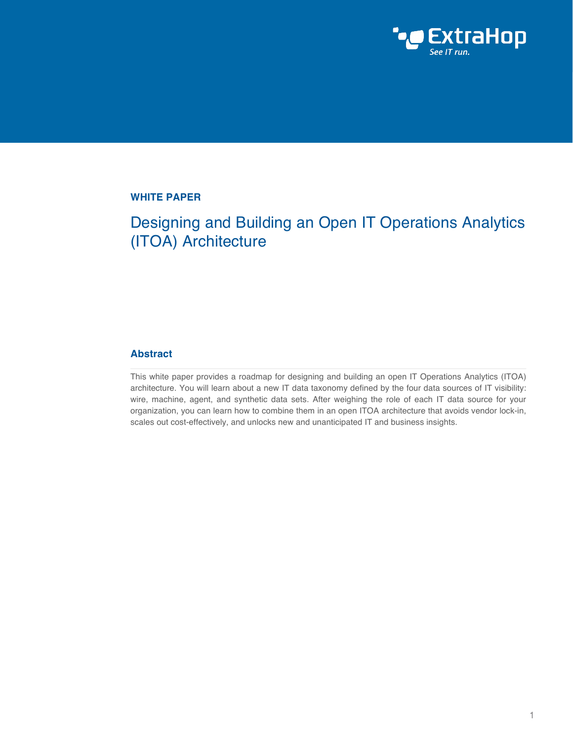

## **WHITE PAPER**

Designing and Building an Open IT Operations Analytics (ITOA) Architecture

#### **Abstract**

This white paper provides a roadmap for designing and building an open IT Operations Analytics (ITOA) architecture. You will learn about a new IT data taxonomy defined by the four data sources of IT visibility: wire, machine, agent, and synthetic data sets. After weighing the role of each IT data source for your organization, you can learn how to combine them in an open ITOA architecture that avoids vendor lock-in, scales out cost-effectively, and unlocks new and unanticipated IT and business insights.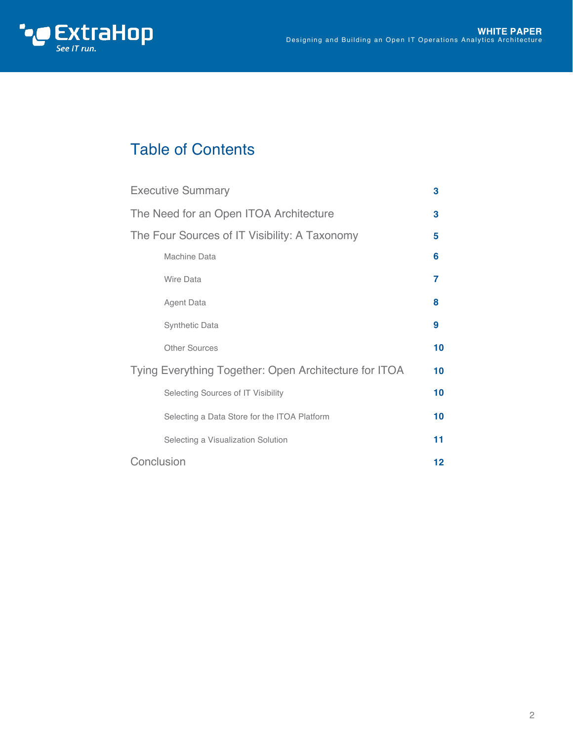

# Table of Contents

|                                                       | <b>Executive Summary</b>                     | 3  |
|-------------------------------------------------------|----------------------------------------------|----|
| The Need for an Open ITOA Architecture                |                                              |    |
| The Four Sources of IT Visibility: A Taxonomy         |                                              |    |
|                                                       | Machine Data                                 | 6  |
|                                                       | <b>Wire Data</b>                             | 7  |
|                                                       | Agent Data                                   | 8  |
|                                                       | <b>Synthetic Data</b>                        | 9  |
|                                                       | <b>Other Sources</b>                         | 10 |
| Tying Everything Together: Open Architecture for ITOA |                                              |    |
|                                                       | Selecting Sources of IT Visibility           | 10 |
|                                                       | Selecting a Data Store for the ITOA Platform | 10 |
|                                                       | Selecting a Visualization Solution           | 11 |
| Conclusion                                            |                                              |    |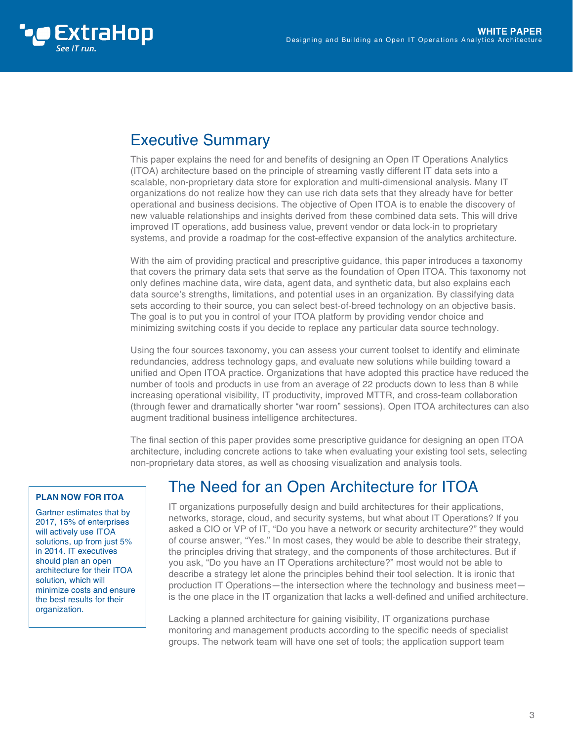

# Executive Summary

This paper explains the need for and benefits of designing an Open IT Operations Analytics (ITOA) architecture based on the principle of streaming vastly different IT data sets into a scalable, non-proprietary data store for exploration and multi-dimensional analysis. Many IT organizations do not realize how they can use rich data sets that they already have for better operational and business decisions. The objective of Open ITOA is to enable the discovery of new valuable relationships and insights derived from these combined data sets. This will drive improved IT operations, add business value, prevent vendor or data lock-in to proprietary systems, and provide a roadmap for the cost-effective expansion of the analytics architecture.

With the aim of providing practical and prescriptive guidance, this paper introduces a taxonomy that covers the primary data sets that serve as the foundation of Open ITOA. This taxonomy not only defines machine data, wire data, agent data, and synthetic data, but also explains each data source's strengths, limitations, and potential uses in an organization. By classifying data sets according to their source, you can select best-of-breed technology on an objective basis. The goal is to put you in control of your ITOA platform by providing vendor choice and minimizing switching costs if you decide to replace any particular data source technology.

Using the four sources taxonomy, you can assess your current toolset to identify and eliminate redundancies, address technology gaps, and evaluate new solutions while building toward a unified and Open ITOA practice. Organizations that have adopted this practice have reduced the number of tools and products in use from an average of 22 products down to less than 8 while increasing operational visibility, IT productivity, improved MTTR, and cross-team collaboration (through fewer and dramatically shorter "war room" sessions). Open ITOA architectures can also augment traditional business intelligence architectures.

The final section of this paper provides some prescriptive guidance for designing an open ITOA architecture, including concrete actions to take when evaluating your existing tool sets, selecting non-proprietary data stores, as well as choosing visualization and analysis tools.

#### **PLAN NOW FOR ITOA**

Gartner estimates that by 2017, 15% of enterprises will actively use ITOA solutions, up from just 5% in 2014. IT executives should plan an open architecture for their ITOA solution, which will minimize costs and ensure the best results for their organization.

# The Need for an Open Architecture for ITOA

IT organizations purposefully design and build architectures for their applications, networks, storage, cloud, and security systems, but what about IT Operations? If you asked a CIO or VP of IT, "Do you have a network or security architecture?" they would of course answer, "Yes." In most cases, they would be able to describe their strategy, the principles driving that strategy, and the components of those architectures. But if you ask, "Do you have an IT Operations architecture?" most would not be able to describe a strategy let alone the principles behind their tool selection. It is ironic that production IT Operations—the intersection where the technology and business meet is the one place in the IT organization that lacks a well-defined and unified architecture.

Lacking a planned architecture for gaining visibility, IT organizations purchase monitoring and management products according to the specific needs of specialist groups. The network team will have one set of tools; the application support team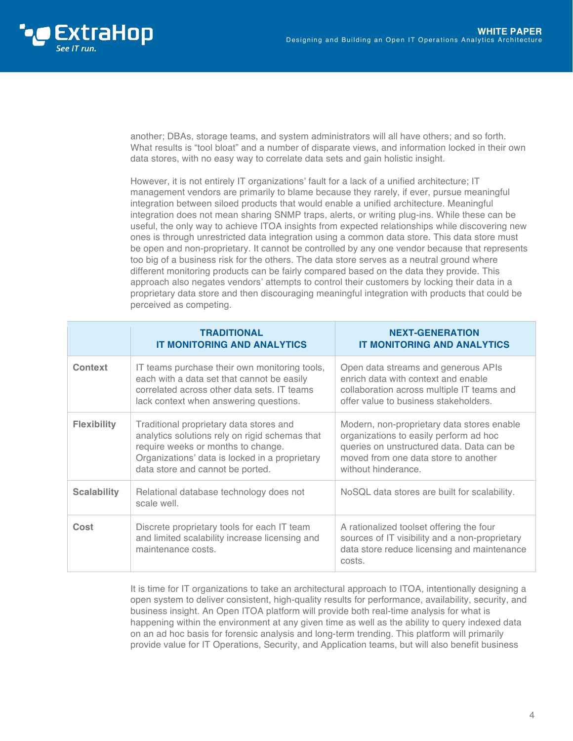

another; DBAs, storage teams, and system administrators will all have others; and so forth. What results is "tool bloat" and a number of disparate views, and information locked in their own data stores, with no easy way to correlate data sets and gain holistic insight.

However, it is not entirely IT organizations' fault for a lack of a unified architecture; IT management vendors are primarily to blame because they rarely, if ever, pursue meaningful integration between siloed products that would enable a unified architecture. Meaningful integration does not mean sharing SNMP traps, alerts, or writing plug-ins. While these can be useful, the only way to achieve ITOA insights from expected relationships while discovering new ones is through unrestricted data integration using a common data store. This data store must be open and non-proprietary. It cannot be controlled by any one vendor because that represents too big of a business risk for the others. The data store serves as a neutral ground where different monitoring products can be fairly compared based on the data they provide. This approach also negates vendors' attempts to control their customers by locking their data in a proprietary data store and then discouraging meaningful integration with products that could be perceived as competing.

|                    | <b>TRADITIONAL</b><br><b>IT MONITORING AND ANALYTICS</b>                                                                                                                                                              | <b>NEXT-GENERATION</b><br><b>IT MONITORING AND ANALYTICS</b>                                                                                                                                     |
|--------------------|-----------------------------------------------------------------------------------------------------------------------------------------------------------------------------------------------------------------------|--------------------------------------------------------------------------------------------------------------------------------------------------------------------------------------------------|
| Context            | IT teams purchase their own monitoring tools,<br>each with a data set that cannot be easily<br>correlated across other data sets. IT teams<br>lack context when answering questions.                                  | Open data streams and generous APIs<br>enrich data with context and enable<br>collaboration across multiple IT teams and<br>offer value to business stakeholders.                                |
| <b>Flexibility</b> | Traditional proprietary data stores and<br>analytics solutions rely on rigid schemas that<br>require weeks or months to change.<br>Organizations' data is locked in a proprietary<br>data store and cannot be ported. | Modern, non-proprietary data stores enable<br>organizations to easily perform ad hoc<br>queries on unstructured data. Data can be<br>moved from one data store to another<br>without hinderance. |
| <b>Scalability</b> | Relational database technology does not<br>scale well.                                                                                                                                                                | NoSQL data stores are built for scalability.                                                                                                                                                     |
| Cost               | Discrete proprietary tools for each IT team<br>and limited scalability increase licensing and<br>maintenance costs.                                                                                                   | A rationalized toolset offering the four<br>sources of IT visibility and a non-proprietary<br>data store reduce licensing and maintenance<br>costs.                                              |

It is time for IT organizations to take an architectural approach to ITOA, intentionally designing a open system to deliver consistent, high-quality results for performance, availability, security, and business insight. An Open ITOA platform will provide both real-time analysis for what is happening within the environment at any given time as well as the ability to query indexed data on an ad hoc basis for forensic analysis and long-term trending. This platform will primarily provide value for IT Operations, Security, and Application teams, but will also benefit business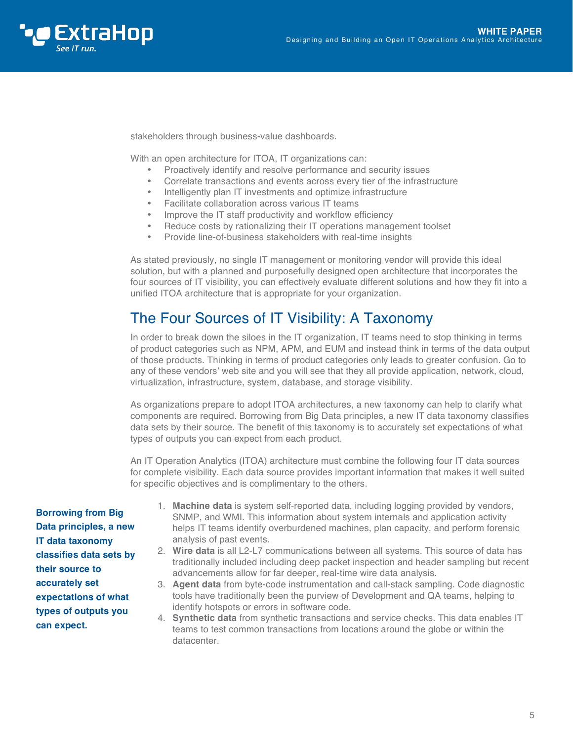

stakeholders through business-value dashboards.

With an open architecture for ITOA, IT organizations can:

- Proactively identify and resolve performance and security issues
- Correlate transactions and events across every tier of the infrastructure
- Intelligently plan IT investments and optimize infrastructure
- Facilitate collaboration across various IT teams
- Improve the IT staff productivity and workflow efficiency
- Reduce costs by rationalizing their IT operations management toolset
- Provide line-of-business stakeholders with real-time insights

As stated previously, no single IT management or monitoring vendor will provide this ideal solution, but with a planned and purposefully designed open architecture that incorporates the four sources of IT visibility, you can effectively evaluate different solutions and how they fit into a unified ITOA architecture that is appropriate for your organization.

# The Four Sources of IT Visibility: A Taxonomy

In order to break down the siloes in the IT organization, IT teams need to stop thinking in terms of product categories such as NPM, APM, and EUM and instead think in terms of the data output of those products. Thinking in terms of product categories only leads to greater confusion. Go to any of these vendors' web site and you will see that they all provide application, network, cloud, virtualization, infrastructure, system, database, and storage visibility.

As organizations prepare to adopt ITOA architectures, a new taxonomy can help to clarify what components are required. Borrowing from Big Data principles, a new IT data taxonomy classifies data sets by their source. The benefit of this taxonomy is to accurately set expectations of what types of outputs you can expect from each product.

An IT Operation Analytics (ITOA) architecture must combine the following four IT data sources for complete visibility. Each data source provides important information that makes it well suited for specific objectives and is complimentary to the others.

**Borrowing from Big Data principles, a new IT data taxonomy classifies data sets by their source to accurately set expectations of what types of outputs you can expect.**

- 1. **Machine data** is system self-reported data, including logging provided by vendors, SNMP, and WMI. This information about system internals and application activity helps IT teams identify overburdened machines, plan capacity, and perform forensic analysis of past events.
- 2. **Wire data** is all L2-L7 communications between all systems. This source of data has traditionally included including deep packet inspection and header sampling but recent advancements allow for far deeper, real-time wire data analysis.
- 3. **Agent data** from byte-code instrumentation and call-stack sampling. Code diagnostic tools have traditionally been the purview of Development and QA teams, helping to identify hotspots or errors in software code.
- 4. **Synthetic data** from synthetic transactions and service checks. This data enables IT teams to test common transactions from locations around the globe or within the datacenter.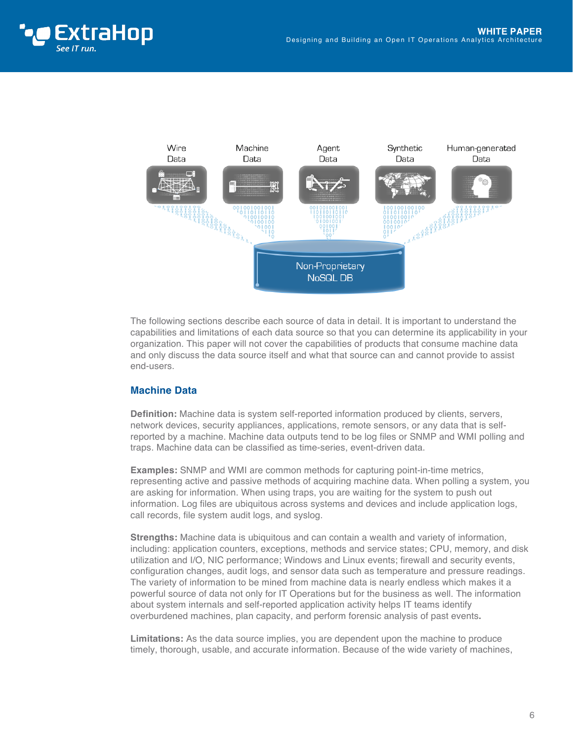



The following sections describe each source of data in detail. It is important to understand the capabilities and limitations of each data source so that you can determine its applicability in your organization. This paper will not cover the capabilities of products that consume machine data and only discuss the data source itself and what that source can and cannot provide to assist end-users.

## **Machine Data**

**Definition:** Machine data is system self-reported information produced by clients, servers, network devices, security appliances, applications, remote sensors, or any data that is selfreported by a machine. Machine data outputs tend to be log files or SNMP and WMI polling and traps. Machine data can be classified as time-series, event-driven data.

**Examples:** SNMP and WMI are common methods for capturing point-in-time metrics, representing active and passive methods of acquiring machine data. When polling a system, you are asking for information. When using traps, you are waiting for the system to push out information. Log files are ubiquitous across systems and devices and include application logs, call records, file system audit logs, and syslog.

**Strengths:** Machine data is ubiquitous and can contain a wealth and variety of information, including: application counters, exceptions, methods and service states; CPU, memory, and disk utilization and I/O, NIC performance; Windows and Linux events; firewall and security events, configuration changes, audit logs, and sensor data such as temperature and pressure readings. The variety of information to be mined from machine data is nearly endless which makes it a powerful source of data not only for IT Operations but for the business as well. The information about system internals and self-reported application activity helps IT teams identify overburdened machines, plan capacity, and perform forensic analysis of past events**.**

**Limitations:** As the data source implies, you are dependent upon the machine to produce timely, thorough, usable, and accurate information. Because of the wide variety of machines,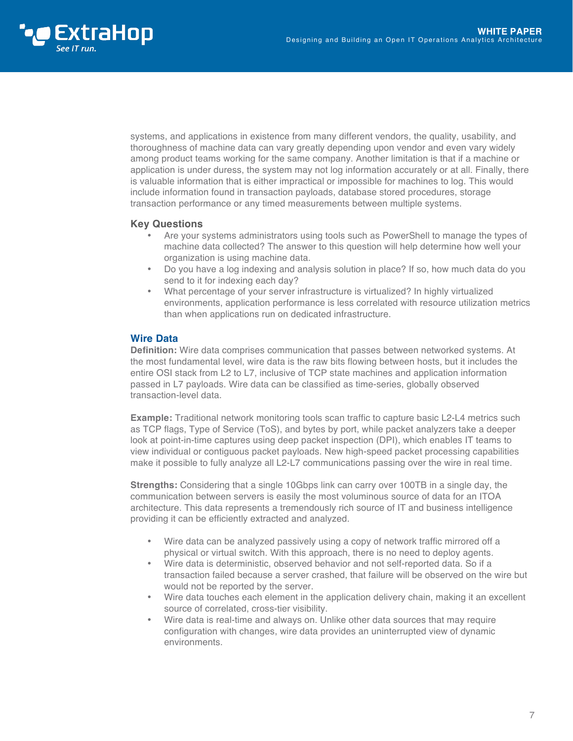

systems, and applications in existence from many different vendors, the quality, usability, and thoroughness of machine data can vary greatly depending upon vendor and even vary widely among product teams working for the same company. Another limitation is that if a machine or application is under duress, the system may not log information accurately or at all. Finally, there is valuable information that is either impractical or impossible for machines to log. This would include information found in transaction payloads, database stored procedures, storage transaction performance or any timed measurements between multiple systems.

### **Key Questions**

- Are your systems administrators using tools such as PowerShell to manage the types of machine data collected? The answer to this question will help determine how well your organization is using machine data.
- Do you have a log indexing and analysis solution in place? If so, how much data do you send to it for indexing each day?
- What percentage of your server infrastructure is virtualized? In highly virtualized environments, application performance is less correlated with resource utilization metrics than when applications run on dedicated infrastructure.

## **Wire Data**

**Definition:** Wire data comprises communication that passes between networked systems. At the most fundamental level, wire data is the raw bits flowing between hosts, but it includes the entire OSI stack from L2 to L7, inclusive of TCP state machines and application information passed in L7 payloads. Wire data can be classified as time-series, globally observed transaction-level data.

**Example:** Traditional network monitoring tools scan traffic to capture basic L2-L4 metrics such as TCP flags, Type of Service (ToS), and bytes by port, while packet analyzers take a deeper look at point-in-time captures using deep packet inspection (DPI), which enables IT teams to view individual or contiguous packet payloads. New high-speed packet processing capabilities make it possible to fully analyze all L2-L7 communications passing over the wire in real time.

**Strengths:** Considering that a single 10Gbps link can carry over 100TB in a single day, the communication between servers is easily the most voluminous source of data for an ITOA architecture. This data represents a tremendously rich source of IT and business intelligence providing it can be efficiently extracted and analyzed.

- Wire data can be analyzed passively using a copy of network traffic mirrored off a physical or virtual switch. With this approach, there is no need to deploy agents.
- Wire data is deterministic, observed behavior and not self-reported data. So if a transaction failed because a server crashed, that failure will be observed on the wire but would not be reported by the server.
- Wire data touches each element in the application delivery chain, making it an excellent source of correlated, cross-tier visibility.
- Wire data is real-time and always on. Unlike other data sources that may require configuration with changes, wire data provides an uninterrupted view of dynamic environments.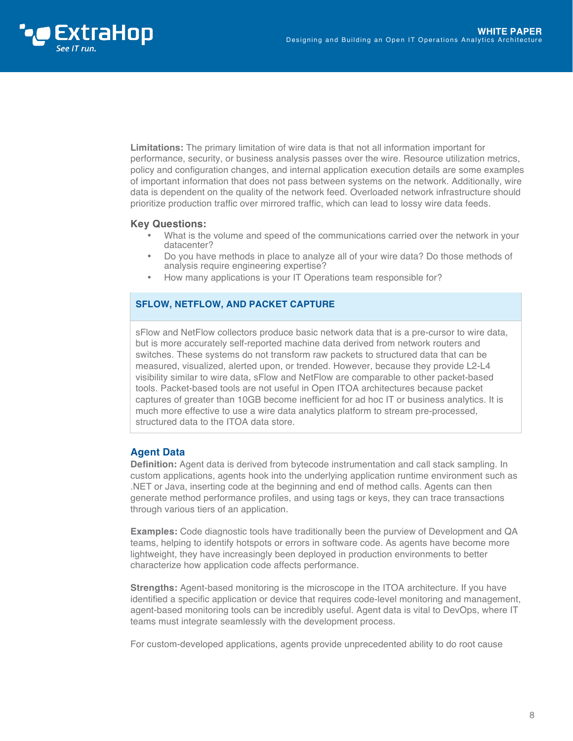

**Limitations:** The primary limitation of wire data is that not all information important for performance, security, or business analysis passes over the wire. Resource utilization metrics, policy and configuration changes, and internal application execution details are some examples of important information that does not pass between systems on the network. Additionally, wire data is dependent on the quality of the network feed. Overloaded network infrastructure should prioritize production traffic over mirrored traffic, which can lead to lossy wire data feeds.

#### **Key Questions:**

- What is the volume and speed of the communications carried over the network in your datacenter?
- Do you have methods in place to analyze all of your wire data? Do those methods of analysis require engineering expertise?
- How many applications is your IT Operations team responsible for?

## **SFLOW, NETFLOW, AND PACKET CAPTURE**

sFlow and NetFlow collectors produce basic network data that is a pre-cursor to wire data, but is more accurately self-reported machine data derived from network routers and switches. These systems do not transform raw packets to structured data that can be measured, visualized, alerted upon, or trended. However, because they provide L2-L4 visibility similar to wire data, sFlow and NetFlow are comparable to other packet-based tools. Packet-based tools are not useful in Open ITOA architectures because packet captures of greater than 10GB become inefficient for ad hoc IT or business analytics. It is much more effective to use a wire data analytics platform to stream pre-processed, structured data to the ITOA data store.

### **Agent Data**

**Definition:** Agent data is derived from bytecode instrumentation and call stack sampling. In custom applications, agents hook into the underlying application runtime environment such as .NET or Java, inserting code at the beginning and end of method calls. Agents can then generate method performance profiles, and using tags or keys, they can trace transactions through various tiers of an application.

**Examples:** Code diagnostic tools have traditionally been the purview of Development and QA teams, helping to identify hotspots or errors in software code. As agents have become more lightweight, they have increasingly been deployed in production environments to better characterize how application code affects performance.

**Strengths:** Agent-based monitoring is the microscope in the ITOA architecture. If you have identified a specific application or device that requires code-level monitoring and management, agent-based monitoring tools can be incredibly useful. Agent data is vital to DevOps, where IT teams must integrate seamlessly with the development process.

For custom-developed applications, agents provide unprecedented ability to do root cause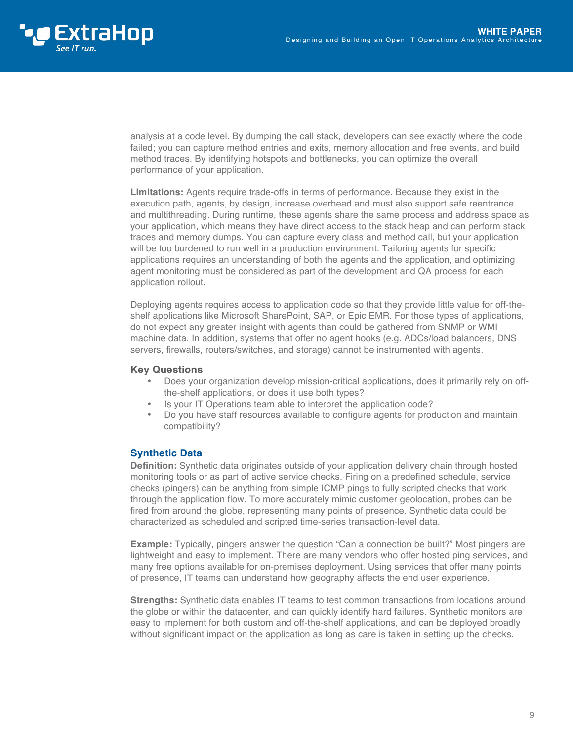

analysis at a code level. By dumping the call stack, developers can see exactly where the code failed; you can capture method entries and exits, memory allocation and free events, and build method traces. By identifying hotspots and bottlenecks, you can optimize the overall performance of your application.

**Limitations:** Agents require trade-offs in terms of performance. Because they exist in the execution path, agents, by design, increase overhead and must also support safe reentrance and multithreading. During runtime, these agents share the same process and address space as your application, which means they have direct access to the stack heap and can perform stack traces and memory dumps. You can capture every class and method call, but your application will be too burdened to run well in a production environment. Tailoring agents for specific applications requires an understanding of both the agents and the application, and optimizing agent monitoring must be considered as part of the development and QA process for each application rollout.

Deploying agents requires access to application code so that they provide little value for off-theshelf applications like Microsoft SharePoint, SAP, or Epic EMR. For those types of applications, do not expect any greater insight with agents than could be gathered from SNMP or WMI machine data. In addition, systems that offer no agent hooks (e.g. ADCs/load balancers, DNS servers, firewalls, routers/switches, and storage) cannot be instrumented with agents.

#### **Key Questions**

- Does your organization develop mission-critical applications, does it primarily rely on offthe-shelf applications, or does it use both types?
- Is your IT Operations team able to interpret the application code?
- Do you have staff resources available to configure agents for production and maintain compatibility?

### **Synthetic Data**

**Definition:** Synthetic data originates outside of your application delivery chain through hosted monitoring tools or as part of active service checks. Firing on a predefined schedule, service checks (pingers) can be anything from simple ICMP pings to fully scripted checks that work through the application flow. To more accurately mimic customer geolocation, probes can be fired from around the globe, representing many points of presence. Synthetic data could be characterized as scheduled and scripted time-series transaction-level data.

**Example:** Typically, pingers answer the question "Can a connection be built?" Most pingers are lightweight and easy to implement. There are many vendors who offer hosted ping services, and many free options available for on-premises deployment. Using services that offer many points of presence, IT teams can understand how geography affects the end user experience.

**Strengths:** Synthetic data enables IT teams to test common transactions from locations around the globe or within the datacenter, and can quickly identify hard failures. Synthetic monitors are easy to implement for both custom and off-the-shelf applications, and can be deployed broadly without significant impact on the application as long as care is taken in setting up the checks.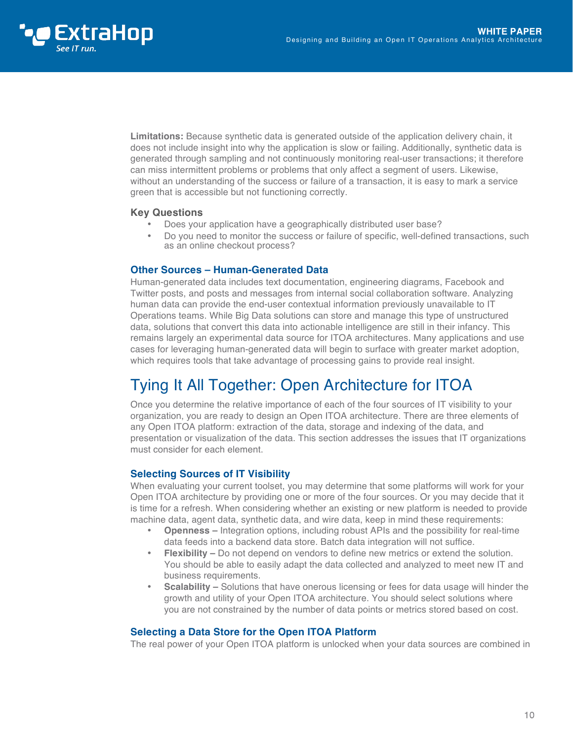

**Limitations:** Because synthetic data is generated outside of the application delivery chain, it does not include insight into why the application is slow or failing. Additionally, synthetic data is generated through sampling and not continuously monitoring real-user transactions; it therefore can miss intermittent problems or problems that only affect a segment of users. Likewise, without an understanding of the success or failure of a transaction, it is easy to mark a service green that is accessible but not functioning correctly.

#### **Key Questions**

- Does your application have a geographically distributed user base?
- Do you need to monitor the success or failure of specific, well-defined transactions, such as an online checkout process?

#### **Other Sources – Human-Generated Data**

Human-generated data includes text documentation, engineering diagrams, Facebook and Twitter posts, and posts and messages from internal social collaboration software. Analyzing human data can provide the end-user contextual information previously unavailable to IT Operations teams. While Big Data solutions can store and manage this type of unstructured data, solutions that convert this data into actionable intelligence are still in their infancy. This remains largely an experimental data source for ITOA architectures. Many applications and use cases for leveraging human-generated data will begin to surface with greater market adoption, which requires tools that take advantage of processing gains to provide real insight.

# Tying It All Together: Open Architecture for ITOA

Once you determine the relative importance of each of the four sources of IT visibility to your organization, you are ready to design an Open ITOA architecture. There are three elements of any Open ITOA platform: extraction of the data, storage and indexing of the data, and presentation or visualization of the data. This section addresses the issues that IT organizations must consider for each element.

### **Selecting Sources of IT Visibility**

When evaluating your current toolset, you may determine that some platforms will work for your Open ITOA architecture by providing one or more of the four sources. Or you may decide that it is time for a refresh. When considering whether an existing or new platform is needed to provide machine data, agent data, synthetic data, and wire data, keep in mind these requirements:

- **Openness –** Integration options, including robust APIs and the possibility for real-time data feeds into a backend data store. Batch data integration will not suffice.
- **Flexibility –** Do not depend on vendors to define new metrics or extend the solution. You should be able to easily adapt the data collected and analyzed to meet new IT and business requirements.
- **Scalability –** Solutions that have onerous licensing or fees for data usage will hinder the growth and utility of your Open ITOA architecture. You should select solutions where you are not constrained by the number of data points or metrics stored based on cost.

### **Selecting a Data Store for the Open ITOA Platform**

The real power of your Open ITOA platform is unlocked when your data sources are combined in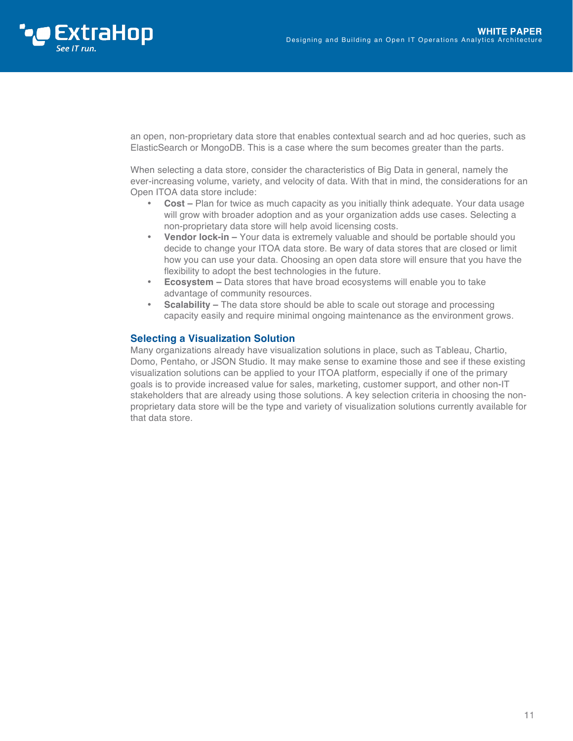

an open, non-proprietary data store that enables contextual search and ad hoc queries, such as ElasticSearch or MongoDB. This is a case where the sum becomes greater than the parts.

When selecting a data store, consider the characteristics of Big Data in general, namely the ever-increasing volume, variety, and velocity of data. With that in mind, the considerations for an Open ITOA data store include:

- **Cost –** Plan for twice as much capacity as you initially think adequate. Your data usage will grow with broader adoption and as your organization adds use cases. Selecting a non-proprietary data store will help avoid licensing costs.
- **Vendor lock-in –** Your data is extremely valuable and should be portable should you decide to change your ITOA data store. Be wary of data stores that are closed or limit how you can use your data. Choosing an open data store will ensure that you have the flexibility to adopt the best technologies in the future.
- **Ecosystem –** Data stores that have broad ecosystems will enable you to take advantage of community resources.
- **Scalability –** The data store should be able to scale out storage and processing capacity easily and require minimal ongoing maintenance as the environment grows.

### **Selecting a Visualization Solution**

Many organizations already have visualization solutions in place, such as Tableau, Chartio, Domo, Pentaho, or JSON Studio. It may make sense to examine those and see if these existing visualization solutions can be applied to your ITOA platform, especially if one of the primary goals is to provide increased value for sales, marketing, customer support, and other non-IT stakeholders that are already using those solutions. A key selection criteria in choosing the nonproprietary data store will be the type and variety of visualization solutions currently available for that data store.